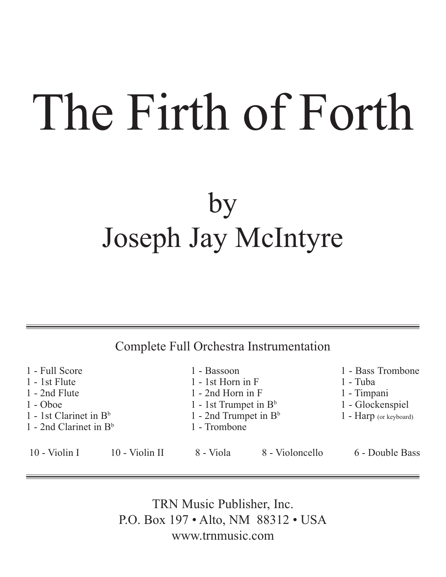# The Firth of Forth

## by Joseph Jay McIntyre

Complete Full Orchestra Instrumentation

1 - Full Score 1 - 1st Flute 1 - 2nd Flute 1 - Oboe 1 - 1st Clarinet in  $B<sup>b</sup>$ 1 - 2nd Clarinet in  $B<sup>b</sup>$ 1 - Bassoon 1 - 1st Horn in F 1 - 2nd Horn in F 1 - 1st Trumpet in  $B^b$ 1 - 2nd Trumpet in  $B^b$ 1 - Trombone 1 - Bass Trombone 1 - Tuba 1 - Timpani 1 - Glockenspiel 1 - Harp (or keyboard) 10 - Violin I 10 - Violin II 8 - Viola 8 - Violoncello 6 - Double Bass

> TRN Music Publisher, Inc. P.O. Box 197 • Alto, NM 88312 • USA www.trnmusic.com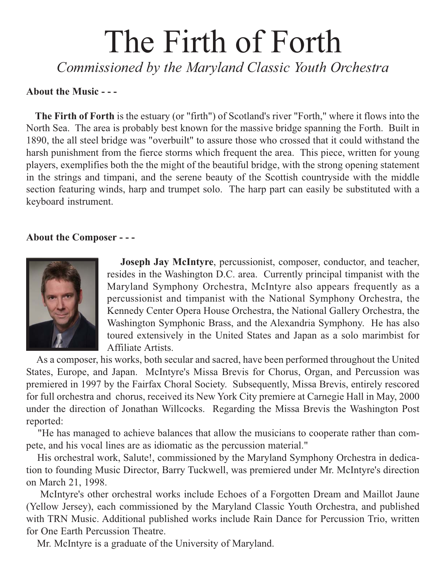## The Firth of Forth *Commissioned by the Maryland Classic Youth Orchestra*

#### **About the Music - - -**

 **The Firth of Forth** is the estuary (or "firth") of Scotland's river "Forth," where it flows into the North Sea. The area is probably best known for the massive bridge spanning the Forth. Built in 1890, the all steel bridge was "overbuilt" to assure those who crossed that it could withstand the harsh punishment from the fierce storms which frequent the area. This piece, written for young players, exemplifies both the the might of the beautiful bridge, with the strong opening statement in the strings and timpani, and the serene beauty of the Scottish countryside with the middle section featuring winds, harp and trumpet solo. The harp part can easily be substituted with a keyboard instrument.

#### **About the Composer - - -**



 **Joseph Jay McIntyre**, percussionist, composer, conductor, and teacher, resides in the Washington D.C. area. Currently principal timpanist with the Maryland Symphony Orchestra, McIntyre also appears frequently as a percussionist and timpanist with the National Symphony Orchestra, the Kennedy Center Opera House Orchestra, the National Gallery Orchestra, the Washington Symphonic Brass, and the Alexandria Symphony. He has also toured extensively in the United States and Japan as a solo marimbist for Affiliate Artists.

 As a composer, his works, both secular and sacred, have been performed throughout the United States, Europe, and Japan. McIntyre's Missa Brevis for Chorus, Organ, and Percussion was premiered in 1997 by the Fairfax Choral Society. Subsequently, Missa Brevis, entirely rescored for full orchestra and chorus, received its New York City premiere at Carnegie Hall in May, 2000 under the direction of Jonathan Willcocks. Regarding the Missa Brevis the Washington Post reported:

 "He has managed to achieve balances that allow the musicians to cooperate rather than compete, and his vocal lines are as idiomatic as the percussion material."

 His orchestral work, Salute!, commissioned by the Maryland Symphony Orchestra in dedication to founding Music Director, Barry Tuckwell, was premiered under Mr. McIntyre's direction on March 21, 1998.

 McIntyre's other orchestral works include Echoes of a Forgotten Dream and Maillot Jaune (Yellow Jersey), each commissioned by the Maryland Classic Youth Orchestra, and published with TRN Music. Additional published works include Rain Dance for Percussion Trio, written for One Earth Percussion Theatre.

Mr. McIntyre is a graduate of the University of Maryland.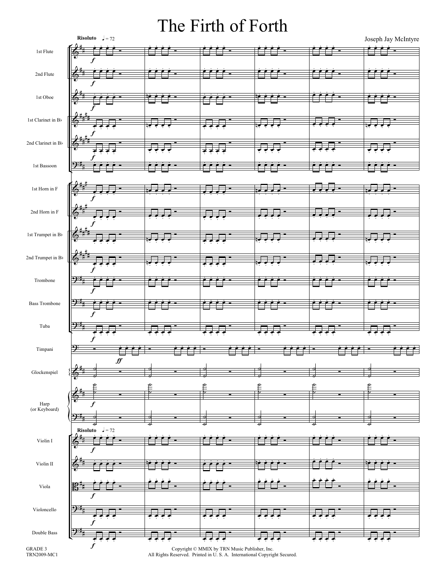### The Firth of Forth

|                             | <b>Risoluto</b> $\sqrt{ } = 72$                                    | - - -<br>$\overline{\phantom{a}}$ | $\overline{\phantom{a}}$<br>$-1$<br>$\overline{\phantom{a}}$ | $\mathbf{v}$ . We set                       |                                                      | Joseph Jay McIntyre                |
|-----------------------------|--------------------------------------------------------------------|-----------------------------------|--------------------------------------------------------------|---------------------------------------------|------------------------------------------------------|------------------------------------|
| 1st Flute                   | f                                                                  |                                   |                                                              |                                             |                                                      |                                    |
| 2nd Flute                   | ଙ<br>$\overline{f}$                                                |                                   |                                                              | ℯ                                           |                                                      |                                    |
| 1st Oboe                    |                                                                    | ЦР                                |                                                              | ₽<br>-                                      | Ξ                                                    | $\bullet$ .<br>$\qquad \bullet$    |
| 1st Clarinet in Bb          | 9                                                                  |                                   |                                                              |                                             |                                                      |                                    |
| 2nd Clarinet in $B$         | Ģ<br>⋥<br>₹                                                        |                                   | ₹<br>₹<br>∍                                                  | ▰                                           |                                                      | ₹<br>▰                             |
| $1\mathrm{st}$ Bassoon      | 91                                                                 | $\bullet$ $\bullet$ $\bullet$     | $\bullet$ $\bullet$ $\bullet$                                | $\epsilon$ $\epsilon$ $\epsilon$            | $\epsilon$ , , , ,                                   | $\epsilon$ , , , .                 |
| 1st Horn in F               | ⊕                                                                  |                                   |                                                              | ۰<br>ю                                      | $\overline{\phantom{a}}$<br>∙                        |                                    |
| 2nd Horn in F               | ⊚                                                                  |                                   |                                                              |                                             |                                                      |                                    |
| 1st Trumpet in $\rm B\flat$ | Θ                                                                  |                                   |                                                              |                                             |                                                      |                                    |
| 2nd Trumpet in Bb           | $\circ$                                                            |                                   |                                                              | 10                                          |                                                      |                                    |
| Trombone                    | $9^{\tiny 4}$<br>$\bullet$ $\bullet$ $\bullet$<br>$\boldsymbol{f}$ | $\bullet\bullet\bullet$<br>. .    | $\bullet$ $\bullet$<br>$\bullet$ $\bullet$                   | $\dot{\phantom{a}}$<br>$\bullet$ $\bullet$  | $\overline{\phantom{a}}$<br>$\overline{\phantom{a}}$ | $\bullet$ $\bullet$<br>$\bullet$ . |
| <b>Bass Trombone</b>        | $\mathbf{\partial}^*$<br>$\bm{f}$                                  | $\bullet$ $\bullet$               | $\bullet$ $\bullet$<br>$\bullet$ .                           | $\bullet$ $\bullet$ $\bullet$<br><u>. .</u> | $\bullet$ $\bullet$ $\bullet$<br>₽<br>-              | . .<br>. .                         |
| Tuba                        | $\mathbf{\mathcal{P}}^{:t}$<br>٠<br>f                              |                                   |                                                              |                                             |                                                      | ٠                                  |
| Timpani                     | <u> 9:</u><br>f f                                                  |                                   |                                                              |                                             |                                                      | $\dot{\phantom{1}}$                |
| Glockenspiel                |                                                                    |                                   |                                                              |                                             |                                                      |                                    |
| Harp<br>(or Keyboard)       | €<br> 9∷                                                           | €<br>$\overline{\phantom{a}}$     | €                                                            | €<br>Þ<br>ø                                 | ₿<br>$\overline{\phantom{a}}$                        | Ê<br>ø                             |
| Violin I                    | <b>Risoluto</b> $= 72$<br>f                                        |                                   |                                                              |                                             |                                                      |                                    |
| Violin $\rm II$             |                                                                    | فا                                |                                                              | ₽                                           |                                                      |                                    |
| $\it Viola$                 | $\boldsymbol{f}$                                                   |                                   |                                                              |                                             |                                                      |                                    |
| Violoncello                 | $\mathbf{\vartheta}$                                               |                                   |                                                              |                                             |                                                      |                                    |
| Double Bass                 | <u>J:L</u>                                                         |                                   |                                                              |                                             |                                                      |                                    |

GRADE 3 TRN2009-MC1

Copyright © MMIX by TRN Music Publisher, Inc. All Rights Reserved. Printed in U. S. A. International Copyright Secured.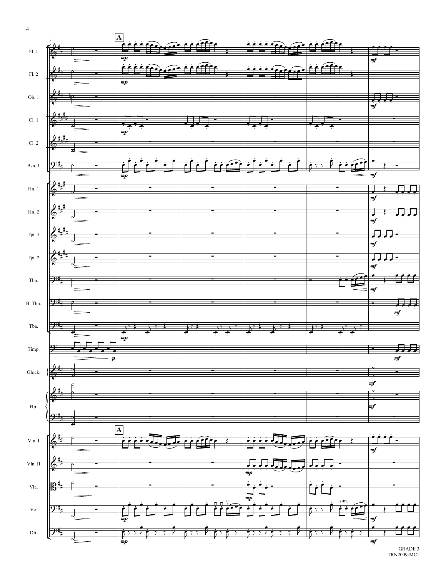

GRADE 3 TRN2009-MC1